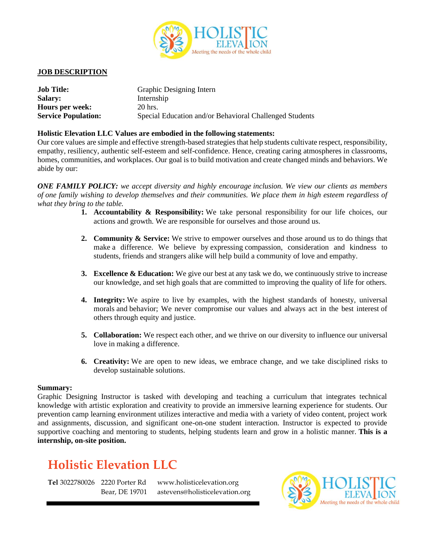

### **JOB DESCRIPTION**

| <b>Job Title:</b>          | Graphic Designing Intern                                |
|----------------------------|---------------------------------------------------------|
| <b>Salary:</b>             | Internship                                              |
| <b>Hours per week:</b>     | 20 hrs.                                                 |
| <b>Service Population:</b> | Special Education and/or Behavioral Challenged Students |

#### **Holistic Elevation LLC Values are embodied in the following statements:**

Our core values are simple and effective strength-based strategiesthat help students cultivate respect, responsibility, empathy, resiliency, authentic self-esteem and self-confidence. Hence, creating caring atmospheres in classrooms, homes, communities, and workplaces. Our goal is to build motivation and create changed minds and behaviors. We abide by our:

*ONE FAMILY POLICY: we accept diversity and highly encourage inclusion. We view our clients as members* of one family wishing to develop themselves and their communities. We place them in high esteem regardless of *what they bring to the table.*

- **1. Accountability & Responsibility:** We take personal responsibility for our life choices, our actions and growth. We are responsible for ourselves and those around us.
- **2. Community & Service:** We strive to empower ourselves and those around us to do things that make a difference. We believe by expressing compassion, consideration and kindness to students, friends and strangers alike will help build a community of love and empathy.
- **3. Excellence & Education:** We give our best at any task we do, we continuously strive to increase our knowledge, and set high goals that are committed to improving the quality of life for others.
- **4. Integrity:** We aspire to live by examples, with the highest standards of honesty, universal morals and behavior; We never compromise our values and always act in the best interest of others through equity and justice.
- **5. Collaboration:** We respect each other, and we thrive on our diversity to influence our universal love in making a difference.
- **6. Creativity:** We are open to new ideas, we embrace change, and we take disciplined risks to develop sustainable solutions.

#### **Summary:**

Graphic Designing Instructor is tasked with developing and teaching a curriculum that integrates technical knowledge with artistic exploration and creativity to provide an immersive learning experience for students. Our prevention camp learning environment utilizes interactive and media with a variety of video content, project work and assignments, discussion, and significant one-on-one student interaction. Instructor is expected to provide supportive coaching and mentoring to students, helping students learn and grow in a holistic manner. **This is a internship, on-site position.**

# **Holistic Elevation LLC**

**Tel** 3022780026 2220 Porter Rd Bear, DE 19701

www.holisticelevation.org astevens@holisticelevation.org